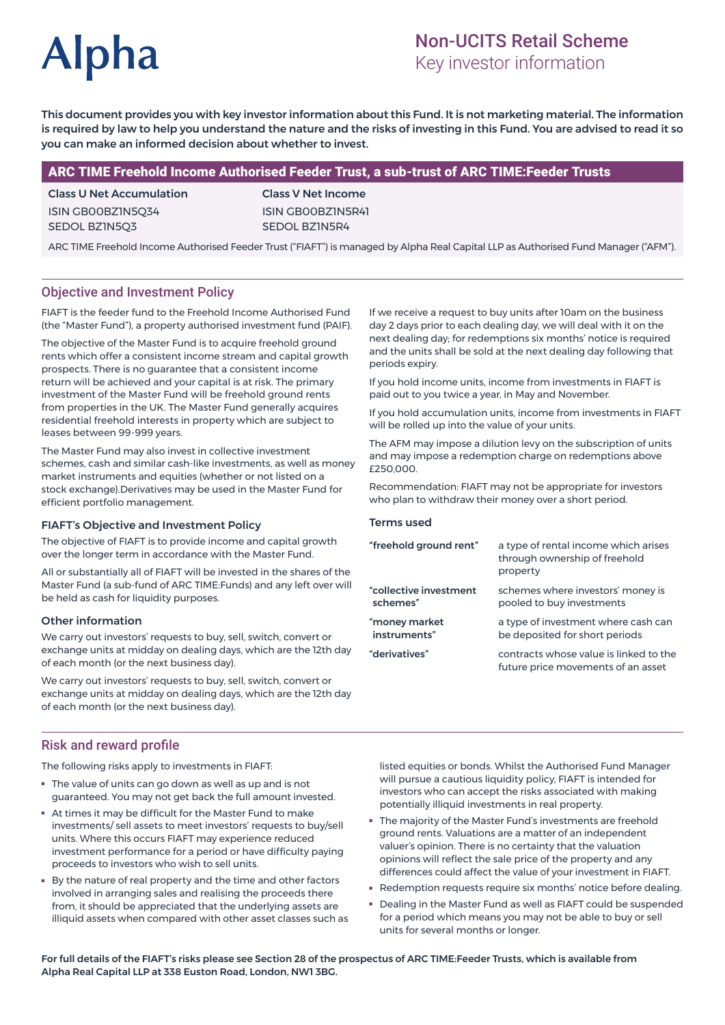# **Alpha**

# Non-UCITS Retail Scheme

Key investor information

This document provides you with key investor information about this Fund. It is not marketing material. The information is required by law to help you understand the nature and the risks of investing in this Fund. You are advised to read it so you can make an informed decision about whether to invest.

# ARC TIME Freehold Income Authorised Feeder Trust, a sub-trust of ARC TIME:Feeder Trusts

Class U Net Accumulation ISIN GB00BZ1N5Q34 SEDOL BZ1N5Q3

Class V Net Income ISIN GB00BZ1N5R41 SEDOL BZ1N5R4

ARC TIME Freehold Income Authorised Feeder Trust ("FIAFT") is managed by Alpha Real Capital LLP as Authorised Fund Manager ("AFM").

# Objective and Investment Policy

FIAFT is the feeder fund to the Freehold Income Authorised Fund (the "Master Fund"), a property authorised investment fund (PAIF).

The objective of the Master Fund is to acquire freehold ground rents which offer a consistent income stream and capital growth prospects. There is no guarantee that a consistent income return will be achieved and your capital is at risk. The primary investment of the Master Fund will be freehold ground rents from properties in the UK. The Master Fund generally acquires residential freehold interests in property which are subject to leases between 99-999 years.

The Master Fund may also invest in collective investment schemes, cash and similar cash-like investments, as well as money market instruments and equities (whether or not listed on a stock exchange).Derivatives may be used in the Master Fund for efficient portfolio management.

#### FIAFT's Objective and Investment Policy

The objective of FIAFT is to provide income and capital growth over the longer term in accordance with the Master Fund.

All or substantially all of FIAFT will be invested in the shares of the Master Fund (a sub-fund of ARC TIME:Funds) and any left over will be held as cash for liquidity purposes.

#### Other information

We carry out investors' requests to buy, sell, switch, convert or exchange units at midday on dealing days, which are the 12th day of each month (or the next business day).

We carry out investors' requests to buy, sell, switch, convert or exchange units at midday on dealing days, which are the 12th day of each month (or the next business day).

## Risk and reward profile

The following risks apply to investments in FIAFT:

- The value of units can go down as well as up and is not guaranteed. You may not get back the full amount invested.
- At times it may be difficult for the Master Fund to make investments/ sell assets to meet investors' requests to buy/sell units. Where this occurs FIAFT may experience reduced investment performance for a period or have difficulty paying proceeds to investors who wish to sell units.
- By the nature of real property and the time and other factors involved in arranging sales and realising the proceeds there from, it should be appreciated that the underlying assets are illiquid assets when compared with other asset classes such as

If we receive a request to buy units after 10am on the business day 2 days prior to each dealing day, we will deal with it on the next dealing day; for redemptions six months' notice is required and the units shall be sold at the next dealing day following that periods expiry.

If you hold income units, income from investments in FIAFT is paid out to you twice a year, in May and November.

If you hold accumulation units, income from investments in FIAFT will be rolled up into the value of your units.

The AFM may impose a dilution levy on the subscription of units and may impose a redemption charge on redemptions above £250,000.

Recommendation: FIAFT may not be appropriate for investors who plan to withdraw their money over a short period.

#### Terms used

| "freehold ground rent"             | a type of rental income which arises<br>through ownership of freehold<br>property |
|------------------------------------|-----------------------------------------------------------------------------------|
| "collective investment<br>schemes" | schemes where investors' money is<br>pooled to buy investments                    |
| "money market<br>instruments"      | a type of investment where cash can<br>be deposited for short periods             |
| "derivatives"                      | contracts whose value is linked to the<br>future price movements of an asset      |
|                                    |                                                                                   |

listed equities or bonds. Whilst the Authorised Fund Manager will pursue a cautious liquidity policy, FIAFT is intended for investors who can accept the risks associated with making potentially illiquid investments in real property.

- The majority of the Master Fund's investments are freehold ground rents. Valuations are a matter of an independent valuer's opinion. There is no certainty that the valuation opinions will reflect the sale price of the property and any differences could affect the value of your investment in FIAFT.
- Redemption requests require six months' notice before dealing.
- Dealing in the Master Fund as well as FIAFT could be suspended for a period which means you may not be able to buy or sell units for several months or longer.

For full details of the FIAFT's risks please see Section 28 of the prospectus of ARC TIME:Feeder Trusts, which is available from Alpha Real Capital LLP at 338 Euston Road, London, NW1 3BG.